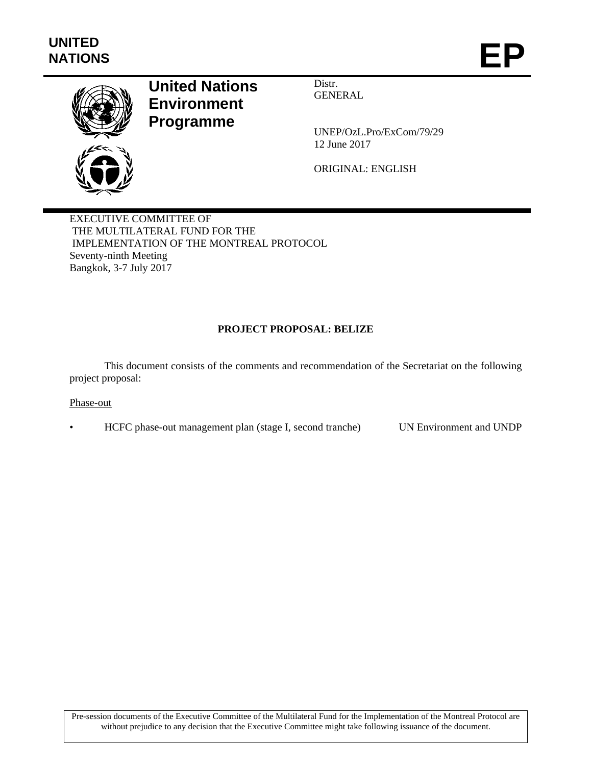

# **United Nations Environment Programme**

Distr. GENERAL

UNEP/OzL.Pro/ExCom/79/29 12 June 2017

ORIGINAL: ENGLISH

EXECUTIVE COMMITTEE OF THE MULTILATERAL FUND FOR THE IMPLEMENTATION OF THE MONTREAL PROTOCOL Seventy-ninth Meeting Bangkok, 3-7 July 2017

## **PROJECT PROPOSAL: BELIZE**

This document consists of the comments and recommendation of the Secretariat on the following project proposal:

#### Phase-out

• HCFC phase-out management plan (stage I, second tranche) UN Environment and UNDP

Pre-session documents of the Executive Committee of the Multilateral Fund for the Implementation of the Montreal Protocol are without prejudice to any decision that the Executive Committee might take following issuance of the document.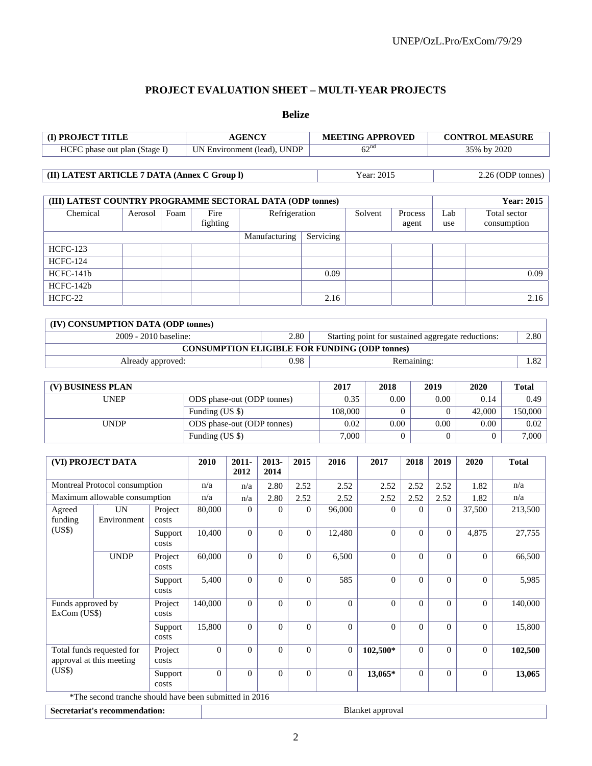# **PROJECT EVALUATION SHEET – MULTI-YEAR PROJECTS**

**Belize** 

| (I) PROJECT TITLE                                          |                                                        |                       | <b>AGENCY</b>                     |                  |                |                |                    | <b>MEETING APPROVED</b> |                                                      |                     |                   | <b>CONTROL MEASURE</b>  |              |  |  |
|------------------------------------------------------------|--------------------------------------------------------|-----------------------|-----------------------------------|------------------|----------------|----------------|--------------------|-------------------------|------------------------------------------------------|---------------------|-------------------|-------------------------|--------------|--|--|
| HCFC phase out plan (Stage I)                              |                                                        |                       | UN Environment (lead), UNDP       |                  |                |                |                    | 62 <sup>nd</sup>        |                                                      |                     |                   | 35% by 2020             |              |  |  |
|                                                            |                                                        |                       |                                   |                  |                |                |                    |                         |                                                      |                     |                   |                         |              |  |  |
| (II) LATEST ARTICLE 7 DATA (Annex C Group I)<br>Year: 2015 |                                                        |                       |                                   |                  |                |                |                    |                         |                                                      |                     | 2.26 (ODP tonnes) |                         |              |  |  |
|                                                            |                                                        |                       |                                   |                  |                |                |                    |                         |                                                      |                     |                   |                         |              |  |  |
| (III) LATEST COUNTRY PROGRAMME SECTORAL DATA (ODP tonnes)  |                                                        |                       |                                   |                  |                |                |                    |                         |                                                      |                     | <b>Year: 2015</b> |                         |              |  |  |
| Chemical                                                   | Foam<br>Fire<br>Refrigeration                          |                       |                                   |                  |                |                | Solvent<br>Process |                         |                                                      | Total sector<br>Lab |                   |                         |              |  |  |
|                                                            |                                                        | fighting              |                                   |                  |                |                | agent              |                         |                                                      | consumption<br>use  |                   |                         |              |  |  |
|                                                            |                                                        |                       | Manufacturing                     |                  | Servicing      |                |                    |                         |                                                      |                     |                   |                         |              |  |  |
| <b>HCFC-123</b>                                            |                                                        |                       |                                   |                  |                |                |                    |                         |                                                      |                     |                   |                         |              |  |  |
| <b>HCFC-124</b>                                            |                                                        |                       |                                   |                  |                |                |                    |                         |                                                      |                     |                   |                         |              |  |  |
| HCFC-141b                                                  |                                                        |                       |                                   |                  |                |                |                    | 0.09                    |                                                      |                     |                   |                         | 0.09         |  |  |
| HCFC-142b                                                  |                                                        |                       |                                   |                  |                |                |                    |                         |                                                      |                     |                   |                         |              |  |  |
| HCFC-22                                                    |                                                        |                       |                                   |                  |                |                | 2.16               |                         |                                                      |                     |                   |                         | 2.16         |  |  |
|                                                            |                                                        |                       |                                   |                  |                |                |                    |                         |                                                      |                     |                   |                         |              |  |  |
|                                                            | (IV) CONSUMPTION DATA (ODP tonnes)                     |                       |                                   |                  |                |                |                    |                         |                                                      |                     |                   |                         |              |  |  |
|                                                            |                                                        | 2009 - 2010 baseline: |                                   |                  |                | 2.80           |                    |                         | Starting point for sustained aggregate reductions:   |                     |                   |                         | 2.80         |  |  |
|                                                            |                                                        |                       |                                   |                  |                |                |                    |                         | <b>CONSUMPTION ELIGIBLE FOR FUNDING (ODP tonnes)</b> |                     |                   |                         |              |  |  |
|                                                            |                                                        | Already approved:     |                                   |                  |                | 0.98           |                    |                         |                                                      | Remaining:          |                   |                         | 1.82         |  |  |
|                                                            |                                                        |                       |                                   |                  |                |                |                    |                         |                                                      |                     |                   |                         |              |  |  |
|                                                            | (V) BUSINESS PLAN                                      |                       |                                   |                  |                |                |                    |                         | 2017<br>2018                                         |                     | 2019              | 2020                    | <b>Total</b> |  |  |
| <b>UNEP</b>                                                |                                                        |                       | ODS phase-out (ODP tonnes)        |                  |                |                |                    | 0.35<br>0.00<br>108,000 |                                                      |                     | 0.00              | 0.14                    | 0.49         |  |  |
|                                                            |                                                        |                       |                                   | Funding (US \$)  |                |                |                    | $\Omega$<br>0.00        |                                                      | $\Omega$            | 42,000            | 150,000                 |              |  |  |
|                                                            | <b>UNDP</b>                                            |                       | ODS phase-out (ODP tonnes)        |                  |                |                | 0.02               |                         |                                                      | 0.00                | 0.00              | 0.02                    |              |  |  |
|                                                            |                                                        |                       | Funding (US \$)                   |                  |                |                |                    | 7,000<br>$\overline{0}$ |                                                      |                     | $\overline{0}$    | 7,000<br>$\overline{0}$ |              |  |  |
|                                                            |                                                        |                       | 2010<br>$2011 -$<br>2013-<br>2015 |                  |                |                |                    | 2016                    |                                                      |                     |                   |                         | <b>Total</b> |  |  |
|                                                            | (VI) PROJECT DATA                                      |                       |                                   | 2012             | 2014           |                |                    |                         | 2017                                                 | 2018                | 2019              | 2020                    |              |  |  |
|                                                            | Montreal Protocol consumption                          |                       | n/a                               | n/a              | 2.80           | 2.52           |                    | 2.52                    | 2.52                                                 | 2.52                | 2.52              | 1.82                    | n/a          |  |  |
|                                                            | Maximum allowable consumption                          |                       | n/a                               | n/a              | 2.80           | 2.52           |                    | 2.52                    | 2.52                                                 | 2.52                | 2.52              | 1.82                    | n/a          |  |  |
| Agreed                                                     | <b>UN</b>                                              | Project               | 80,000                            | $\theta$         | $\overline{0}$ |                | $\overline{0}$     | 96,000                  | $\theta$                                             | $\Omega$            | $\mathbf{0}$      | 37,500                  | 213,500      |  |  |
| funding                                                    | Environment                                            | costs                 |                                   |                  |                |                |                    |                         |                                                      |                     |                   |                         |              |  |  |
| (US\$)                                                     |                                                        | Support               | 10,400                            | $\theta$         | $\overline{0}$ |                | $\overline{0}$     | 12,480                  | $\Omega$                                             | $\Omega$            | $\mathbf{0}$      | 4,875                   | 27,755       |  |  |
|                                                            |                                                        | costs                 |                                   |                  |                |                |                    |                         |                                                      |                     |                   |                         |              |  |  |
|                                                            | <b>UNDP</b>                                            | Project<br>costs      | 60,000                            | $\boldsymbol{0}$ | $\overline{0}$ |                | $\mathbf{0}$       | 6,500                   | $\boldsymbol{0}$                                     | $\mathbf{0}$        | $\boldsymbol{0}$  | $\boldsymbol{0}$        | 66,500       |  |  |
|                                                            |                                                        | Support               | 5,400                             | $\overline{0}$   | $\Omega$       |                | $\overline{0}$     | 585                     | $\Omega$                                             | $\overline{0}$      | $\mathbf{0}$      | $\Omega$                | 5,985        |  |  |
|                                                            |                                                        | costs                 |                                   |                  |                |                |                    |                         |                                                      |                     |                   |                         |              |  |  |
| Funds approved by<br>ExCom (US\$)                          |                                                        | Project               | 140,000                           | $\mathbf{0}$     | $\overline{0}$ |                | $\mathbf{0}$       | $\mathbf{0}$            | $\Omega$                                             | $\Omega$            | $\mathbf{0}$      | $\overline{0}$          | 140,000      |  |  |
|                                                            |                                                        | costs                 |                                   |                  |                |                |                    |                         |                                                      |                     |                   |                         |              |  |  |
|                                                            |                                                        | Support               | 15,800                            | $\mathbf{0}$     | $\overline{0}$ |                | $\mathbf{0}$       | $\overline{0}$          | $\Omega$                                             | $\Omega$            | $\overline{0}$    | $\overline{0}$          | 15,800       |  |  |
| costs<br>Total funds requested for                         |                                                        | $\mathbf{0}$          | $\overline{0}$                    | $\overline{0}$   |                | $\overline{0}$ | $\mathbf{0}$       | 102,500*                | $\Omega$                                             | $\overline{0}$      | $\overline{0}$    |                         |              |  |  |
|                                                            | approval at this meeting                               | Project<br>costs      |                                   |                  |                |                |                    |                         |                                                      |                     |                   |                         | 102,500      |  |  |
| (US\$)                                                     |                                                        | Support               | $\mathbf{0}$                      | $\mathbf{0}$     | $\overline{0}$ |                | $\mathbf{0}$       | $\overline{0}$          | $13,065*$                                            | $\overline{0}$      | $\boldsymbol{0}$  | $\overline{0}$          | 13,065       |  |  |
|                                                            |                                                        | costs                 |                                   |                  |                |                |                    |                         |                                                      |                     |                   |                         |              |  |  |
|                                                            | *The second tranche should have been submitted in 2016 |                       |                                   |                  |                |                |                    |                         |                                                      |                     |                   |                         |              |  |  |

**Secretariat's recommendation:** Blanket approval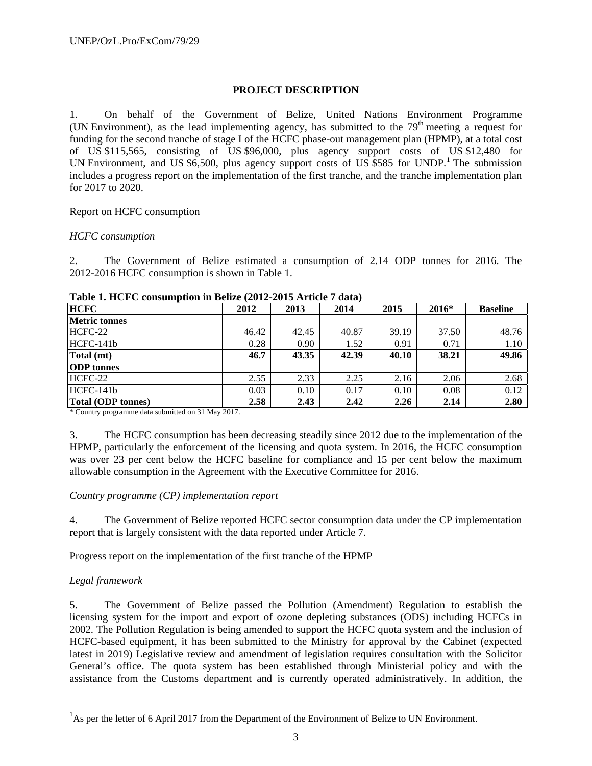## **PROJECT DESCRIPTION**

1. On behalf of the Government of Belize, United Nations Environment Programme (UN Environment), as the lead implementing agency, has submitted to the  $79<sup>th</sup>$  meeting a request for funding for the second tranche of stage I of the HCFC phase-out management plan (HPMP), at a total cost of US \$115,565, consisting of US \$96,000, plus agency support costs of US \$12,480 for UN Environment, and US \$6,500, plus agency support costs of US \$585 for UNDP.<sup>1</sup> The submission includes a progress report on the implementation of the first tranche, and the tranche implementation plan for 2017 to 2020.

## Report on HCFC consumption

## *HCFC consumption*

2. The Government of Belize estimated a consumption of 2.14 ODP tonnes for 2016. The 2012-2016 HCFC consumption is shown in Table 1.

| <b>HCFC</b>               | 2012  | 2013  | 2014  | 2015  | 2016* | <b>Baseline</b> |  |
|---------------------------|-------|-------|-------|-------|-------|-----------------|--|
| <b>Metric tonnes</b>      |       |       |       |       |       |                 |  |
| HCFC-22                   | 46.42 | 42.45 | 40.87 | 39.19 | 37.50 | 48.76           |  |
| HCFC-141b                 | 0.28  | 0.90  | 1.52  | 0.91  | 0.71  | 1.10            |  |
| Total (mt)                | 46.7  | 43.35 | 42.39 | 40.10 | 38.21 | 49.86           |  |
| <b>ODP</b> tonnes         |       |       |       |       |       |                 |  |
| HCFC-22                   | 2.55  | 2.33  | 2.25  | 2.16  | 2.06  | 2.68            |  |
| HCFC-141b                 | 0.03  | 0.10  | 0.17  | 0.10  | 0.08  | 0.12            |  |
| <b>Total (ODP tonnes)</b> | 2.58  | 2.43  | 2.42  | 2.26  | 2.14  | 2.80            |  |

#### **Table 1. HCFC consumption in Belize (2012-2015 Article 7 data)**

\* Country programme data submitted on 31 May 2017.

3. The HCFC consumption has been decreasing steadily since 2012 due to the implementation of the HPMP, particularly the enforcement of the licensing and quota system. In 2016, the HCFC consumption was over 23 per cent below the HCFC baseline for compliance and 15 per cent below the maximum allowable consumption in the Agreement with the Executive Committee for 2016.

## *Country programme (CP) implementation report*

4. The Government of Belize reported HCFC sector consumption data under the CP implementation report that is largely consistent with the data reported under Article 7.

## Progress report on the implementation of the first tranche of the HPMP

## *Legal framework*

-

5. The Government of Belize passed the Pollution (Amendment) Regulation to establish the licensing system for the import and export of ozone depleting substances (ODS) including HCFCs in 2002. The Pollution Regulation is being amended to support the HCFC quota system and the inclusion of HCFC-based equipment, it has been submitted to the Ministry for approval by the Cabinet (expected latest in 2019) Legislative review and amendment of legislation requires consultation with the Solicitor General's office. The quota system has been established through Ministerial policy and with the assistance from the Customs department and is currently operated administratively. In addition, the

<sup>&</sup>lt;sup>1</sup>As per the letter of 6 April 2017 from the Department of the Environment of Belize to UN Environment.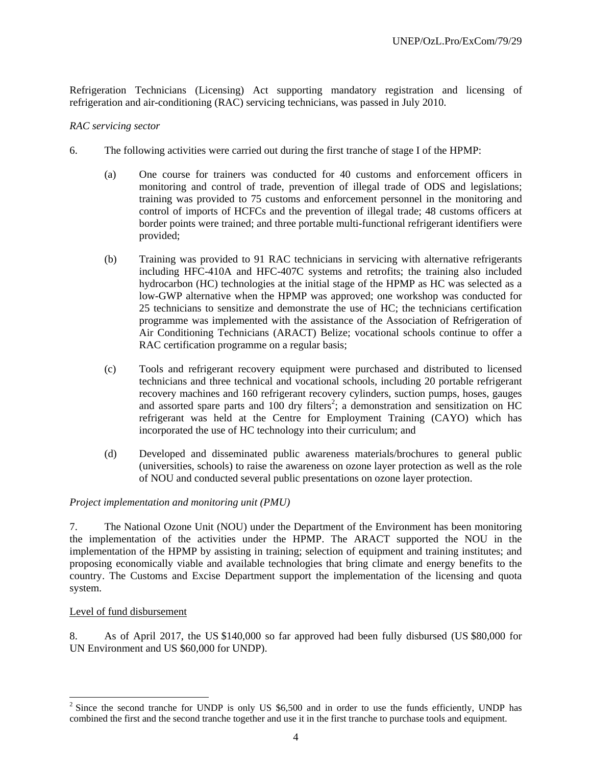Refrigeration Technicians (Licensing) Act supporting mandatory registration and licensing of refrigeration and air-conditioning (RAC) servicing technicians, was passed in July 2010.

#### *RAC servicing sector*

- 6. The following activities were carried out during the first tranche of stage I of the HPMP:
	- (a) One course for trainers was conducted for 40 customs and enforcement officers in monitoring and control of trade, prevention of illegal trade of ODS and legislations; training was provided to 75 customs and enforcement personnel in the monitoring and control of imports of HCFCs and the prevention of illegal trade; 48 customs officers at border points were trained; and three portable multi-functional refrigerant identifiers were provided;
	- (b) Training was provided to 91 RAC technicians in servicing with alternative refrigerants including HFC-410A and HFC-407C systems and retrofits; the training also included hydrocarbon (HC) technologies at the initial stage of the HPMP as HC was selected as a low-GWP alternative when the HPMP was approved; one workshop was conducted for 25 technicians to sensitize and demonstrate the use of HC; the technicians certification programme was implemented with the assistance of the Association of Refrigeration of Air Conditioning Technicians (ARACT) Belize; vocational schools continue to offer a RAC certification programme on a regular basis;
	- (c) Tools and refrigerant recovery equipment were purchased and distributed to licensed technicians and three technical and vocational schools, including 20 portable refrigerant recovery machines and 160 refrigerant recovery cylinders, suction pumps, hoses, gauges and assorted spare parts and  $100$  dry filters<sup>2</sup>; a demonstration and sensitization on HC refrigerant was held at the Centre for Employment Training (CAYO) which has incorporated the use of HC technology into their curriculum; and
	- (d) Developed and disseminated public awareness materials/brochures to general public (universities, schools) to raise the awareness on ozone layer protection as well as the role of NOU and conducted several public presentations on ozone layer protection.

## *Project implementation and monitoring unit (PMU)*

7. The National Ozone Unit (NOU) under the Department of the Environment has been monitoring the implementation of the activities under the HPMP. The ARACT supported the NOU in the implementation of the HPMP by assisting in training; selection of equipment and training institutes; and proposing economically viable and available technologies that bring climate and energy benefits to the country. The Customs and Excise Department support the implementation of the licensing and quota system.

## Level of fund disbursement

l

8. As of April 2017, the US \$140,000 so far approved had been fully disbursed (US \$80,000 for UN Environment and US \$60,000 for UNDP).

 $2^{2}$  Since the second tranche for UNDP is only US \$6,500 and in order to use the funds efficiently, UNDP has combined the first and the second tranche together and use it in the first tranche to purchase tools and equipment.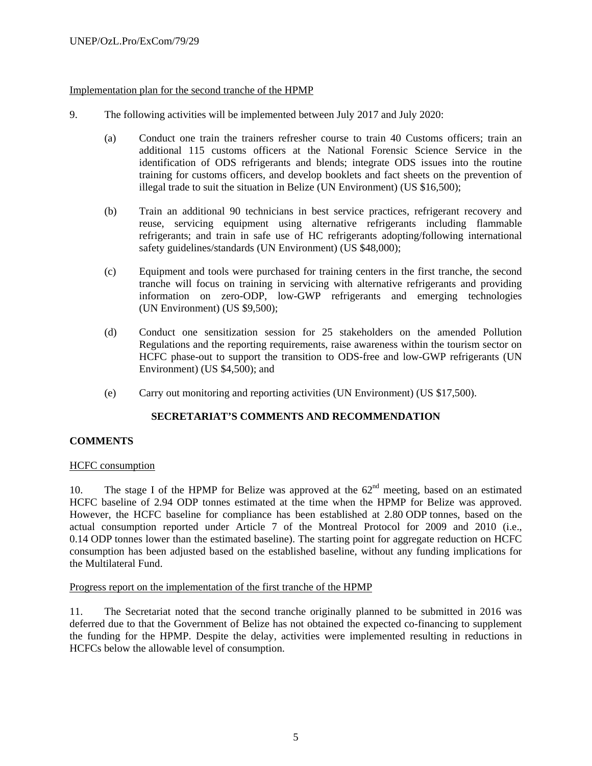## Implementation plan for the second tranche of the HPMP

- 9. The following activities will be implemented between July 2017 and July 2020:
	- (a) Conduct one train the trainers refresher course to train 40 Customs officers; train an additional 115 customs officers at the National Forensic Science Service in the identification of ODS refrigerants and blends; integrate ODS issues into the routine training for customs officers, and develop booklets and fact sheets on the prevention of illegal trade to suit the situation in Belize (UN Environment) (US \$16,500);
	- (b) Train an additional 90 technicians in best service practices, refrigerant recovery and reuse, servicing equipment using alternative refrigerants including flammable refrigerants; and train in safe use of HC refrigerants adopting/following international safety guidelines/standards (UN Environment) (US \$48,000);
	- (c) Equipment and tools were purchased for training centers in the first tranche, the second tranche will focus on training in servicing with alternative refrigerants and providing information on zero-ODP, low-GWP refrigerants and emerging technologies (UN Environment) (US \$9,500);
	- (d) Conduct one sensitization session for 25 stakeholders on the amended Pollution Regulations and the reporting requirements, raise awareness within the tourism sector on HCFC phase-out to support the transition to ODS-free and low-GWP refrigerants (UN Environment) (US \$4,500); and
	- (e) Carry out monitoring and reporting activities (UN Environment) (US \$17,500).

## **SECRETARIAT'S COMMENTS AND RECOMMENDATION**

## **COMMENTS**

## HCFC consumption

10. The stage I of the HPMP for Belize was approved at the  $62<sup>nd</sup>$  meeting, based on an estimated HCFC baseline of 2.94 ODP tonnes estimated at the time when the HPMP for Belize was approved. However, the HCFC baseline for compliance has been established at 2.80 ODP tonnes, based on the actual consumption reported under Article 7 of the Montreal Protocol for 2009 and 2010 (i.e., 0.14 ODP tonnes lower than the estimated baseline). The starting point for aggregate reduction on HCFC consumption has been adjusted based on the established baseline, without any funding implications for the Multilateral Fund.

## Progress report on the implementation of the first tranche of the HPMP

11. The Secretariat noted that the second tranche originally planned to be submitted in 2016 was deferred due to that the Government of Belize has not obtained the expected co-financing to supplement the funding for the HPMP. Despite the delay, activities were implemented resulting in reductions in HCFCs below the allowable level of consumption.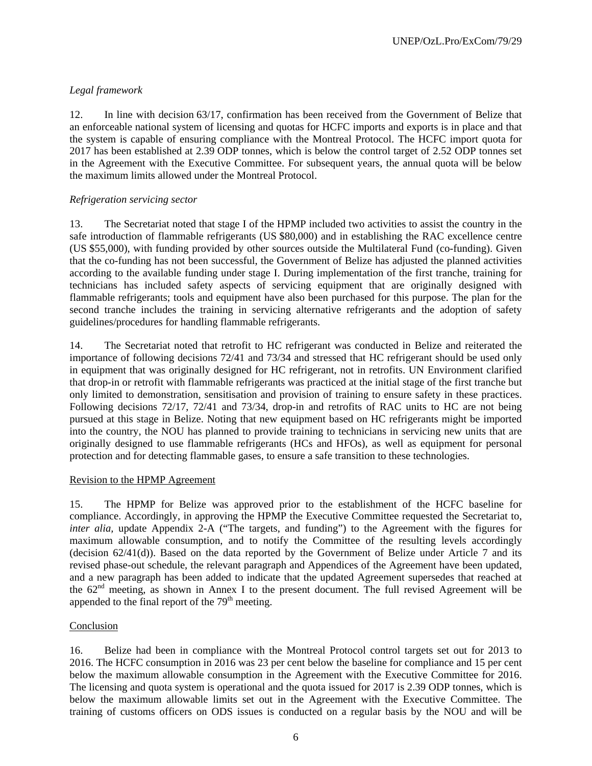# *Legal framework*

12. In line with decision 63/17, confirmation has been received from the Government of Belize that an enforceable national system of licensing and quotas for HCFC imports and exports is in place and that the system is capable of ensuring compliance with the Montreal Protocol. The HCFC import quota for 2017 has been established at 2.39 ODP tonnes, which is below the control target of 2.52 ODP tonnes set in the Agreement with the Executive Committee. For subsequent years, the annual quota will be below the maximum limits allowed under the Montreal Protocol.

## *Refrigeration servicing sector*

13. The Secretariat noted that stage I of the HPMP included two activities to assist the country in the safe introduction of flammable refrigerants (US \$80,000) and in establishing the RAC excellence centre (US \$55,000), with funding provided by other sources outside the Multilateral Fund (co-funding). Given that the co-funding has not been successful, the Government of Belize has adjusted the planned activities according to the available funding under stage I. During implementation of the first tranche, training for technicians has included safety aspects of servicing equipment that are originally designed with flammable refrigerants; tools and equipment have also been purchased for this purpose. The plan for the second tranche includes the training in servicing alternative refrigerants and the adoption of safety guidelines/procedures for handling flammable refrigerants.

14. The Secretariat noted that retrofit to HC refrigerant was conducted in Belize and reiterated the importance of following decisions 72/41 and 73/34 and stressed that HC refrigerant should be used only in equipment that was originally designed for HC refrigerant, not in retrofits. UN Environment clarified that drop-in or retrofit with flammable refrigerants was practiced at the initial stage of the first tranche but only limited to demonstration, sensitisation and provision of training to ensure safety in these practices. Following decisions 72/17, 72/41 and 73/34, drop-in and retrofits of RAC units to HC are not being pursued at this stage in Belize. Noting that new equipment based on HC refrigerants might be imported into the country, the NOU has planned to provide training to technicians in servicing new units that are originally designed to use flammable refrigerants (HCs and HFOs), as well as equipment for personal protection and for detecting flammable gases, to ensure a safe transition to these technologies.

## Revision to the HPMP Agreement

15. The HPMP for Belize was approved prior to the establishment of the HCFC baseline for compliance. Accordingly, in approving the HPMP the Executive Committee requested the Secretariat to, *inter alia,* update Appendix 2-A ("The targets, and funding") to the Agreement with the figures for maximum allowable consumption, and to notify the Committee of the resulting levels accordingly (decision 62/41(d)). Based on the data reported by the Government of Belize under Article 7 and its revised phase-out schedule, the relevant paragraph and Appendices of the Agreement have been updated, and a new paragraph has been added to indicate that the updated Agreement supersedes that reached at the  $62<sup>nd</sup>$  meeting, as shown in Annex I to the present document. The full revised Agreement will be appended to the final report of the  $79<sup>th</sup>$  meeting.

## Conclusion

16. Belize had been in compliance with the Montreal Protocol control targets set out for 2013 to 2016. The HCFC consumption in 2016 was 23 per cent below the baseline for compliance and 15 per cent below the maximum allowable consumption in the Agreement with the Executive Committee for 2016. The licensing and quota system is operational and the quota issued for 2017 is 2.39 ODP tonnes, which is below the maximum allowable limits set out in the Agreement with the Executive Committee. The training of customs officers on ODS issues is conducted on a regular basis by the NOU and will be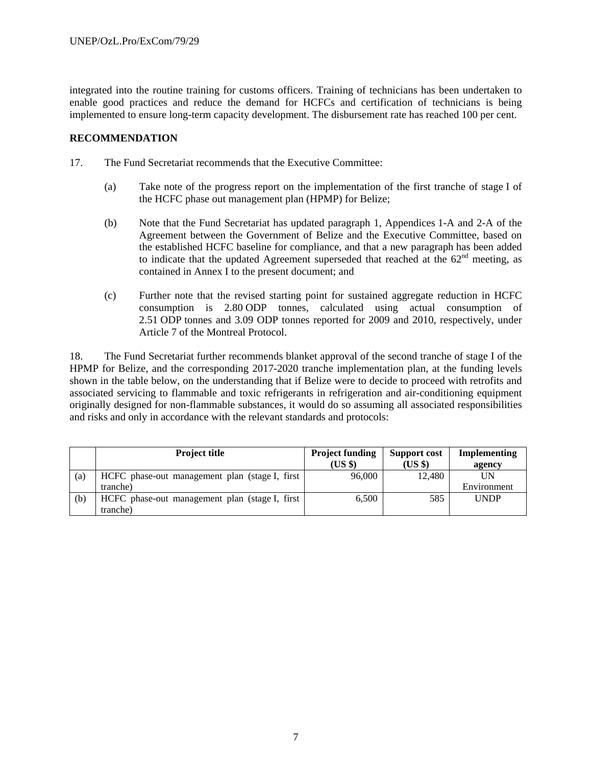integrated into the routine training for customs officers. Training of technicians has been undertaken to enable good practices and reduce the demand for HCFCs and certification of technicians is being implemented to ensure long-term capacity development. The disbursement rate has reached 100 per cent.

## **RECOMMENDATION**

- 17. The Fund Secretariat recommends that the Executive Committee:
	- (a) Take note of the progress report on the implementation of the first tranche of stage I of the HCFC phase out management plan (HPMP) for Belize;
	- (b) Note that the Fund Secretariat has updated paragraph 1, Appendices 1-A and 2-A of the Agreement between the Government of Belize and the Executive Committee, based on the established HCFC baseline for compliance, and that a new paragraph has been added to indicate that the updated Agreement superseded that reached at the  $62<sup>nd</sup>$  meeting, as contained in Annex I to the present document; and
	- (c) Further note that the revised starting point for sustained aggregate reduction in HCFC consumption is 2.80 ODP tonnes, calculated using actual consumption of 2.51 ODP tonnes and 3.09 ODP tonnes reported for 2009 and 2010, respectively, under Article 7 of the Montreal Protocol.

18. The Fund Secretariat further recommends blanket approval of the second tranche of stage I of the HPMP for Belize, and the corresponding 2017-2020 tranche implementation plan, at the funding levels shown in the table below, on the understanding that if Belize were to decide to proceed with retrofits and associated servicing to flammable and toxic refrigerants in refrigeration and air-conditioning equipment originally designed for non-flammable substances, it would do so assuming all associated responsibilities and risks and only in accordance with the relevant standards and protocols:

|     | <b>Project title</b>                            | <b>Project funding</b><br>(US \$) | <b>Support cost</b><br>(US \$) | Implementing<br>agency |
|-----|-------------------------------------------------|-----------------------------------|--------------------------------|------------------------|
| (a) | HCFC phase-out management plan (stage I, first) | 96,000                            | 12,480                         | UN                     |
|     | tranche)                                        |                                   |                                | Environment            |
| (b) | HCFC phase-out management plan (stage I, first) | 6.500                             | 585                            | <b>UNDP</b>            |
|     | tranche)                                        |                                   |                                |                        |